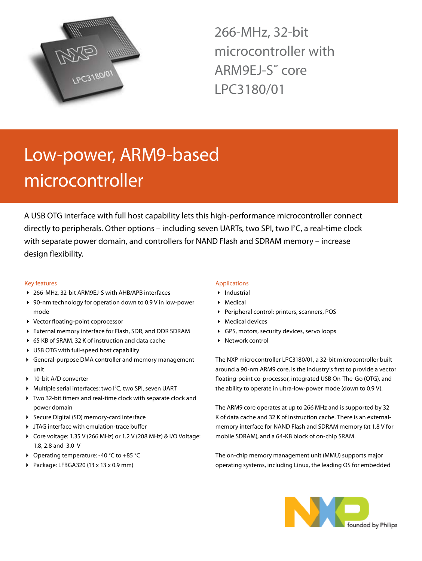

266-MHz, 32-bit microcontroller with ARM9EJ-S™ core LPC3180/01

# Low-power, ARM9-based microcontroller

A USB OTG interface with full host capability lets this high-performance microcontroller connect directly to peripherals. Other options – including seven UARTs, two SPI, two I<sup>2</sup>C, a real-time clock with separate power domain, and controllers for NAND Flash and SDRAM memory – increase design flexibility.

### Key features

- ▶ 266-MHz, 32-bit ARM9EJ-S with AHB/APB interfaces
- ▶ 90-nm technology for operation down to 0.9 V in low-power mode
- 4 Vector floating-point coprocessor
- 4 External memory interface for Flash, SDR, and DDR SDRAM
- ▶ 65 KB of SRAM, 32 K of instruction and data cache
- ▶ USB OTG with full-speed host capability
- 4 General-purpose DMA controller and memory management unit
- ▶ 10-bit A/D converter
- ▶ Multiple serial interfaces: two I<sup>2</sup>C, two SPI, seven UART
- 4 Two 32-bit timers and real-time clock with separate clock and power domain
- ▶ Secure Digital (SD) memory-card interface
- 4 JTAG interface with emulation-trace buffer
- ◆ Core voltage: 1.35 V (266 MHz) or 1.2 V (208 MHz) & I/O Voltage: 1.8, 2.8 and 3.0 V
- ▶ Operating temperature: -40 °C to +85 °C
- 4 Package: LFBGA320 (13 x 13 x 0.9 mm)

## Applications

- 4 Industrial
- 4 Medical
- 4 Peripheral control: printers, scanners, POS
- ▶ Medical devices
- 4 GPS, motors, security devices, servo loops
- ▶ Network control

The NXP microcontroller LPC3180/01, a 32-bit microcontroller built around a 90-nm ARM9 core, is the industry's first to provide a vector floating-point co-processor, integrated USB On-The-Go (OTG), and the ability to operate in ultra-low-power mode (down to 0.9 V).

The ARM9 core operates at up to 266 MHz and is supported by 32 K of data cache and 32 K of instruction cache. There is an externalmemory interface for NAND Flash and SDRAM memory (at 1.8 V for mobile SDRAM), and a 64-KB block of on-chip SRAM.

The on-chip memory management unit (MMU) supports major operating systems, including Linux, the leading OS for embedded